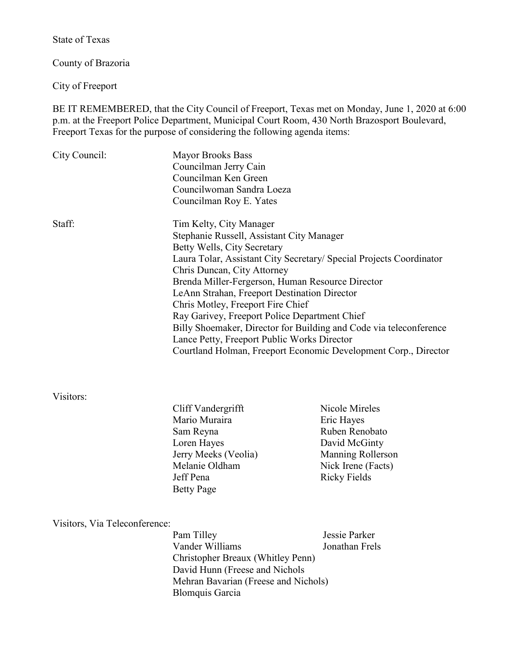State of Texas

County of Brazoria

City of Freeport

BE IT REMEMBERED, that the City Council of Freeport, Texas met on Monday, June 1, 2020 at 6:00 p.m. at the Freeport Police Department, Municipal Court Room, 430 North Brazosport Boulevard, Freeport Texas for the purpose of considering the following agenda items:

| City Council:                 | <b>Mayor Brooks Bass</b><br>Councilman Jerry Cain<br>Councilman Ken Green<br>Councilwoman Sandra Loeza<br>Councilman Roy E. Yates                                                                                                                                                                                          |                                    |                                                  |                                     |                              |
|-------------------------------|----------------------------------------------------------------------------------------------------------------------------------------------------------------------------------------------------------------------------------------------------------------------------------------------------------------------------|------------------------------------|--------------------------------------------------|-------------------------------------|------------------------------|
|                               |                                                                                                                                                                                                                                                                                                                            |                                    |                                                  |                                     |                              |
|                               |                                                                                                                                                                                                                                                                                                                            |                                    |                                                  |                                     |                              |
|                               |                                                                                                                                                                                                                                                                                                                            |                                    |                                                  |                                     |                              |
|                               |                                                                                                                                                                                                                                                                                                                            |                                    |                                                  |                                     |                              |
| Staff:                        | Tim Kelty, City Manager<br>Stephanie Russell, Assistant City Manager<br>Betty Wells, City Secretary<br>Laura Tolar, Assistant City Secretary/ Special Projects Coordinator<br>Chris Duncan, City Attorney                                                                                                                  |                                    |                                                  |                                     |                              |
|                               |                                                                                                                                                                                                                                                                                                                            |                                    |                                                  |                                     |                              |
|                               |                                                                                                                                                                                                                                                                                                                            |                                    |                                                  |                                     |                              |
|                               |                                                                                                                                                                                                                                                                                                                            |                                    |                                                  |                                     |                              |
|                               |                                                                                                                                                                                                                                                                                                                            |                                    | Brenda Miller-Fergerson, Human Resource Director |                                     |                              |
|                               | LeAnn Strahan, Freeport Destination Director<br>Chris Motley, Freeport Fire Chief<br>Ray Garivey, Freeport Police Department Chief<br>Billy Shoemaker, Director for Building and Code via teleconference<br>Lance Petty, Freeport Public Works Director<br>Courtland Holman, Freeport Economic Development Corp., Director |                                    |                                                  |                                     |                              |
|                               |                                                                                                                                                                                                                                                                                                                            |                                    |                                                  |                                     |                              |
|                               |                                                                                                                                                                                                                                                                                                                            |                                    |                                                  |                                     |                              |
|                               |                                                                                                                                                                                                                                                                                                                            |                                    | Visitors:                                        |                                     | Nicole Mireles               |
|                               |                                                                                                                                                                                                                                                                                                                            |                                    |                                                  | Cliff Vandergrifft<br>Mario Muraira |                              |
|                               |                                                                                                                                                                                                                                                                                                                            |                                    |                                                  |                                     | Eric Hayes<br>Ruben Renobato |
|                               | Sam Reyna                                                                                                                                                                                                                                                                                                                  |                                    |                                                  |                                     |                              |
|                               | Loren Hayes<br>Jerry Meeks (Veolia)                                                                                                                                                                                                                                                                                        | David McGinty<br>Manning Rollerson |                                                  |                                     |                              |
|                               | Melanie Oldham                                                                                                                                                                                                                                                                                                             | Nick Irene (Facts)                 |                                                  |                                     |                              |
|                               | Jeff Pena                                                                                                                                                                                                                                                                                                                  | <b>Ricky Fields</b>                |                                                  |                                     |                              |
|                               |                                                                                                                                                                                                                                                                                                                            |                                    |                                                  |                                     |                              |
|                               | <b>Betty Page</b>                                                                                                                                                                                                                                                                                                          |                                    |                                                  |                                     |                              |
|                               |                                                                                                                                                                                                                                                                                                                            |                                    |                                                  |                                     |                              |
| Visitors, Via Teleconference: |                                                                                                                                                                                                                                                                                                                            |                                    |                                                  |                                     |                              |
|                               | Pam Tilley<br>Vander Williams                                                                                                                                                                                                                                                                                              | Jessie Parker<br>Jonathan Frels    |                                                  |                                     |                              |
|                               |                                                                                                                                                                                                                                                                                                                            |                                    |                                                  |                                     |                              |
|                               | <b>Christopher Breaux (Whitley Penn)</b><br>David Hunn (Freese and Nichols                                                                                                                                                                                                                                                 |                                    |                                                  |                                     |                              |
|                               | Mehran Bavarian (Freese and Nichols)                                                                                                                                                                                                                                                                                       |                                    |                                                  |                                     |                              |
|                               |                                                                                                                                                                                                                                                                                                                            |                                    |                                                  |                                     |                              |

Blomquis Garcia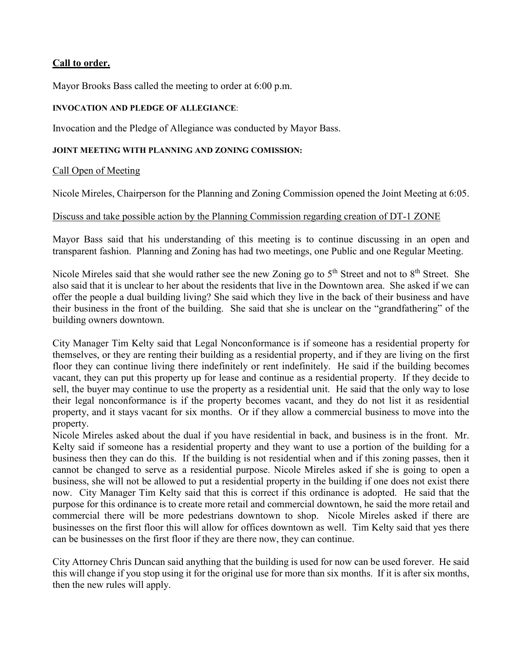### **Call to order.**

Mayor Brooks Bass called the meeting to order at 6:00 p.m.

#### **INVOCATION AND PLEDGE OF ALLEGIANCE**:

Invocation and the Pledge of Allegiance was conducted by Mayor Bass.

#### **JOINT MEETING WITH PLANNING AND ZONING COMISSION:**

#### Call Open of Meeting

Nicole Mireles, Chairperson for the Planning and Zoning Commission opened the Joint Meeting at 6:05.

#### Discuss and take possible action by the Planning Commission regarding creation of DT-1 ZONE

Mayor Bass said that his understanding of this meeting is to continue discussing in an open and transparent fashion. Planning and Zoning has had two meetings, one Public and one Regular Meeting.

Nicole Mireles said that she would rather see the new Zoning go to 5<sup>th</sup> Street and not to 8<sup>th</sup> Street. She also said that it is unclear to her about the residents that live in the Downtown area. She asked if we can offer the people a dual building living? She said which they live in the back of their business and have their business in the front of the building. She said that she is unclear on the "grandfathering" of the building owners downtown.

City Manager Tim Kelty said that Legal Nonconformance is if someone has a residential property for themselves, or they are renting their building as a residential property, and if they are living on the first floor they can continue living there indefinitely or rent indefinitely. He said if the building becomes vacant, they can put this property up for lease and continue as a residential property. If they decide to sell, the buyer may continue to use the property as a residential unit. He said that the only way to lose their legal nonconformance is if the property becomes vacant, and they do not list it as residential property, and it stays vacant for six months. Or if they allow a commercial business to move into the property.

Nicole Mireles asked about the dual if you have residential in back, and business is in the front. Mr. Kelty said if someone has a residential property and they want to use a portion of the building for a business then they can do this. If the building is not residential when and if this zoning passes, then it cannot be changed to serve as a residential purpose. Nicole Mireles asked if she is going to open a business, she will not be allowed to put a residential property in the building if one does not exist there now. City Manager Tim Kelty said that this is correct if this ordinance is adopted. He said that the purpose for this ordinance is to create more retail and commercial downtown, he said the more retail and commercial there will be more pedestrians downtown to shop. Nicole Mireles asked if there are businesses on the first floor this will allow for offices downtown as well. Tim Kelty said that yes there can be businesses on the first floor if they are there now, they can continue.

City Attorney Chris Duncan said anything that the building is used for now can be used forever. He said this will change if you stop using it for the original use for more than six months. If it is after six months, then the new rules will apply.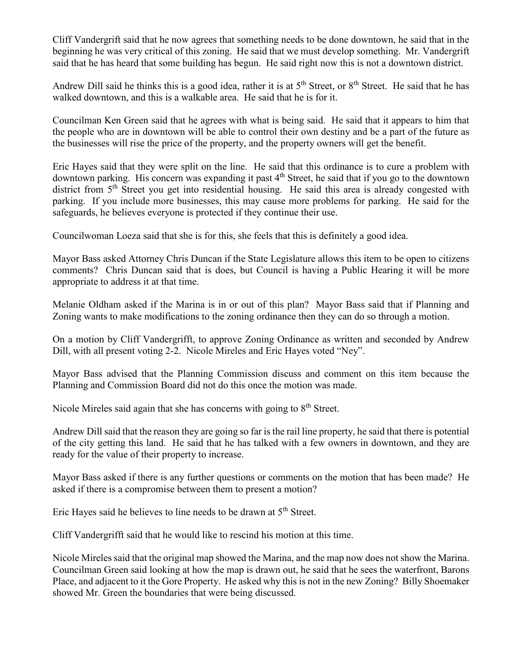Cliff Vandergrift said that he now agrees that something needs to be done downtown, he said that in the beginning he was very critical of this zoning. He said that we must develop something. Mr. Vandergrift said that he has heard that some building has begun. He said right now this is not a downtown district.

Andrew Dill said he thinks this is a good idea, rather it is at  $5<sup>th</sup>$  Street, or  $8<sup>th</sup>$  Street. He said that he has walked downtown, and this is a walkable area. He said that he is for it.

Councilman Ken Green said that he agrees with what is being said. He said that it appears to him that the people who are in downtown will be able to control their own destiny and be a part of the future as the businesses will rise the price of the property, and the property owners will get the benefit.

Eric Hayes said that they were split on the line. He said that this ordinance is to cure a problem with downtown parking. His concern was expanding it past 4<sup>th</sup> Street, he said that if you go to the downtown district from 5<sup>th</sup> Street you get into residential housing. He said this area is already congested with parking. If you include more businesses, this may cause more problems for parking. He said for the safeguards, he believes everyone is protected if they continue their use.

Councilwoman Loeza said that she is for this, she feels that this is definitely a good idea.

Mayor Bass asked Attorney Chris Duncan if the State Legislature allows this item to be open to citizens comments? Chris Duncan said that is does, but Council is having a Public Hearing it will be more appropriate to address it at that time.

Melanie Oldham asked if the Marina is in or out of this plan? Mayor Bass said that if Planning and Zoning wants to make modifications to the zoning ordinance then they can do so through a motion.

On a motion by Cliff Vandergrifft, to approve Zoning Ordinance as written and seconded by Andrew Dill, with all present voting 2-2. Nicole Mireles and Eric Hayes voted "Ney".

Mayor Bass advised that the Planning Commission discuss and comment on this item because the Planning and Commission Board did not do this once the motion was made.

Nicole Mireles said again that she has concerns with going to 8<sup>th</sup> Street.

Andrew Dill said that the reason they are going so far is the rail line property, he said that there is potential of the city getting this land. He said that he has talked with a few owners in downtown, and they are ready for the value of their property to increase.

Mayor Bass asked if there is any further questions or comments on the motion that has been made? He asked if there is a compromise between them to present a motion?

Eric Hayes said he believes to line needs to be drawn at 5<sup>th</sup> Street.

Cliff Vandergrifft said that he would like to rescind his motion at this time.

Nicole Mireles said that the original map showed the Marina, and the map now does not show the Marina. Councilman Green said looking at how the map is drawn out, he said that he sees the waterfront, Barons Place, and adjacent to it the Gore Property. He asked why this is not in the new Zoning? Billy Shoemaker showed Mr. Green the boundaries that were being discussed.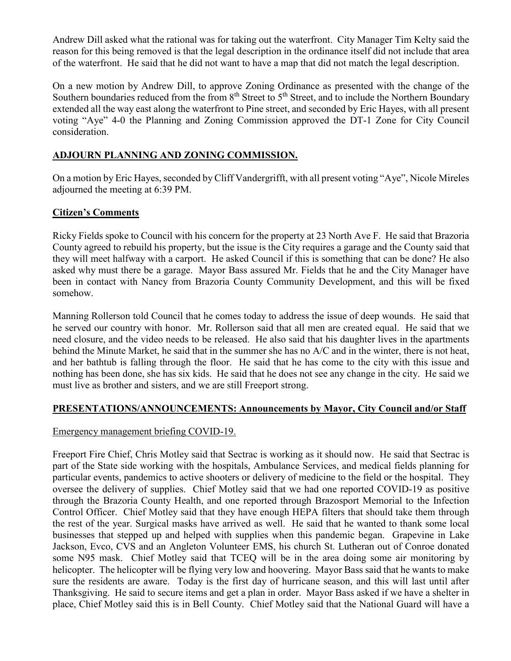Andrew Dill asked what the rational was for taking out the waterfront. City Manager Tim Kelty said the reason for this being removed is that the legal description in the ordinance itself did not include that area of the waterfront. He said that he did not want to have a map that did not match the legal description.

On a new motion by Andrew Dill, to approve Zoning Ordinance as presented with the change of the Southern boundaries reduced from the from  $8<sup>th</sup>$  Street to  $5<sup>th</sup>$  Street, and to include the Northern Boundary extended all the way east along the waterfront to Pine street, and seconded by Eric Hayes, with all present voting "Aye" 4-0 the Planning and Zoning Commission approved the DT-1 Zone for City Council consideration.

## **ADJOURN PLANNING AND ZONING COMMISSION.**

On a motion by Eric Hayes, seconded by Cliff Vandergrifft, with all present voting "Aye", Nicole Mireles adjourned the meeting at 6:39 PM.

### **Citizen's Comments**

Ricky Fields spoke to Council with his concern for the property at 23 North Ave F. He said that Brazoria County agreed to rebuild his property, but the issue is the City requires a garage and the County said that they will meet halfway with a carport. He asked Council if this is something that can be done? He also asked why must there be a garage. Mayor Bass assured Mr. Fields that he and the City Manager have been in contact with Nancy from Brazoria County Community Development, and this will be fixed somehow.

Manning Rollerson told Council that he comes today to address the issue of deep wounds. He said that he served our country with honor. Mr. Rollerson said that all men are created equal. He said that we need closure, and the video needs to be released. He also said that his daughter lives in the apartments behind the Minute Market, he said that in the summer she has no A/C and in the winter, there is not heat, and her bathtub is falling through the floor. He said that he has come to the city with this issue and nothing has been done, she has six kids. He said that he does not see any change in the city. He said we must live as brother and sisters, and we are still Freeport strong.

### **PRESENTATIONS/ANNOUNCEMENTS: Announcements by Mayor, City Council and/or Staff**

### Emergency management briefing COVID-19.

Freeport Fire Chief, Chris Motley said that Sectrac is working as it should now. He said that Sectrac is part of the State side working with the hospitals, Ambulance Services, and medical fields planning for particular events, pandemics to active shooters or delivery of medicine to the field or the hospital. They oversee the delivery of supplies. Chief Motley said that we had one reported COVID-19 as positive through the Brazoria County Health, and one reported through Brazosport Memorial to the Infection Control Officer. Chief Motley said that they have enough HEPA filters that should take them through the rest of the year. Surgical masks have arrived as well. He said that he wanted to thank some local businesses that stepped up and helped with supplies when this pandemic began. Grapevine in Lake Jackson, Evco, CVS and an Angleton Volunteer EMS, his church St. Lutheran out of Conroe donated some N95 mask. Chief Motley said that TCEQ will be in the area doing some air monitoring by helicopter. The helicopter will be flying very low and hoovering. Mayor Bass said that he wants to make sure the residents are aware. Today is the first day of hurricane season, and this will last until after Thanksgiving. He said to secure items and get a plan in order. Mayor Bass asked if we have a shelter in place, Chief Motley said this is in Bell County. Chief Motley said that the National Guard will have a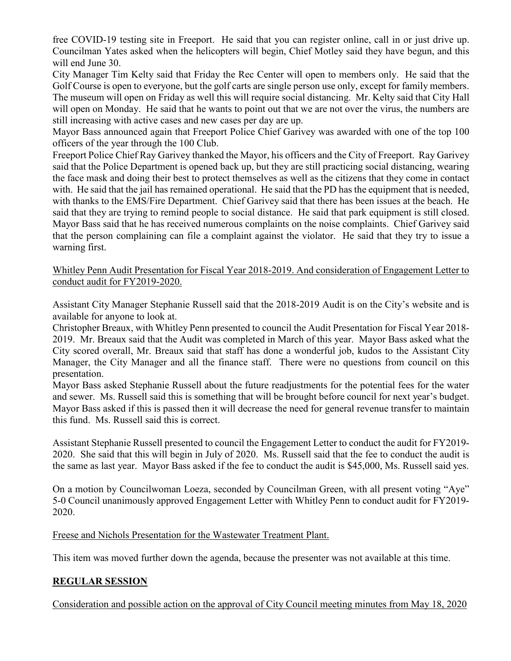free COVID-19 testing site in Freeport. He said that you can register online, call in or just drive up. Councilman Yates asked when the helicopters will begin, Chief Motley said they have begun, and this will end June 30.

City Manager Tim Kelty said that Friday the Rec Center will open to members only. He said that the Golf Course is open to everyone, but the golf carts are single person use only, except for family members. The museum will open on Friday as well this will require social distancing. Mr. Kelty said that City Hall will open on Monday. He said that he wants to point out that we are not over the virus, the numbers are still increasing with active cases and new cases per day are up.

Mayor Bass announced again that Freeport Police Chief Garivey was awarded with one of the top 100 officers of the year through the 100 Club.

Freeport Police Chief Ray Garivey thanked the Mayor, his officers and the City of Freeport. Ray Garivey said that the Police Department is opened back up, but they are still practicing social distancing, wearing the face mask and doing their best to protect themselves as well as the citizens that they come in contact with. He said that the jail has remained operational. He said that the PD has the equipment that is needed, with thanks to the EMS/Fire Department. Chief Garivey said that there has been issues at the beach. He said that they are trying to remind people to social distance. He said that park equipment is still closed. Mayor Bass said that he has received numerous complaints on the noise complaints. Chief Garivey said that the person complaining can file a complaint against the violator. He said that they try to issue a warning first.

#### Whitley Penn Audit Presentation for Fiscal Year 2018-2019. And consideration of Engagement Letter to conduct audit for FY2019-2020.

Assistant City Manager Stephanie Russell said that the 2018-2019 Audit is on the City's website and is available for anyone to look at.

Christopher Breaux, with Whitley Penn presented to council the Audit Presentation for Fiscal Year 2018- 2019. Mr. Breaux said that the Audit was completed in March of this year. Mayor Bass asked what the City scored overall, Mr. Breaux said that staff has done a wonderful job, kudos to the Assistant City Manager, the City Manager and all the finance staff. There were no questions from council on this presentation.

Mayor Bass asked Stephanie Russell about the future readjustments for the potential fees for the water and sewer. Ms. Russell said this is something that will be brought before council for next year's budget. Mayor Bass asked if this is passed then it will decrease the need for general revenue transfer to maintain this fund. Ms. Russell said this is correct.

Assistant Stephanie Russell presented to council the Engagement Letter to conduct the audit for FY2019- 2020. She said that this will begin in July of 2020. Ms. Russell said that the fee to conduct the audit is the same as last year. Mayor Bass asked if the fee to conduct the audit is \$45,000, Ms. Russell said yes.

On a motion by Councilwoman Loeza, seconded by Councilman Green, with all present voting "Aye" 5-0 Council unanimously approved Engagement Letter with Whitley Penn to conduct audit for FY2019- 2020.

Freese and Nichols Presentation for the Wastewater Treatment Plant.

This item was moved further down the agenda, because the presenter was not available at this time.

# **REGULAR SESSION**

Consideration and possible action on the approval of City Council meeting minutes from May 18, 2020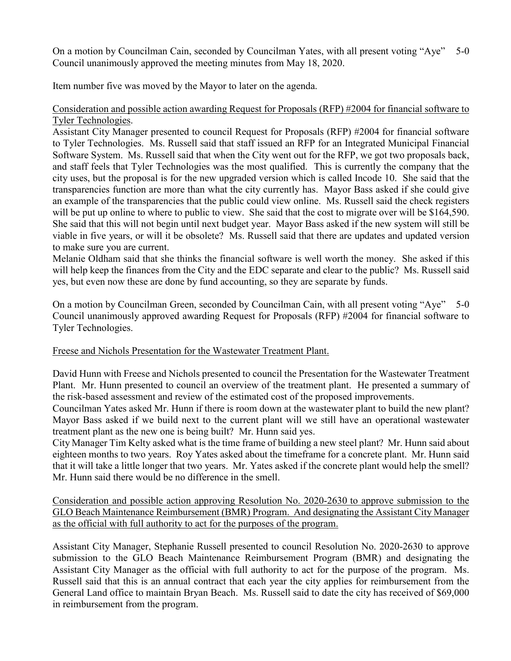On a motion by Councilman Cain, seconded by Councilman Yates, with all present voting "Aye" 5-0 Council unanimously approved the meeting minutes from May 18, 2020.

Item number five was moved by the Mayor to later on the agenda.

## Consideration and possible action awarding Request for Proposals (RFP) #2004 for financial software to Tyler Technologies.

Assistant City Manager presented to council Request for Proposals (RFP) #2004 for financial software to Tyler Technologies. Ms. Russell said that staff issued an RFP for an Integrated Municipal Financial Software System. Ms. Russell said that when the City went out for the RFP, we got two proposals back, and staff feels that Tyler Technologies was the most qualified. This is currently the company that the city uses, but the proposal is for the new upgraded version which is called Incode 10. She said that the transparencies function are more than what the city currently has. Mayor Bass asked if she could give an example of the transparencies that the public could view online. Ms. Russell said the check registers will be put up online to where to public to view. She said that the cost to migrate over will be \$164,590. She said that this will not begin until next budget year. Mayor Bass asked if the new system will still be viable in five years, or will it be obsolete? Ms. Russell said that there are updates and updated version to make sure you are current.

Melanie Oldham said that she thinks the financial software is well worth the money. She asked if this will help keep the finances from the City and the EDC separate and clear to the public? Ms. Russell said yes, but even now these are done by fund accounting, so they are separate by funds.

On a motion by Councilman Green, seconded by Councilman Cain, with all present voting "Aye" 5-0 Council unanimously approved awarding Request for Proposals (RFP) #2004 for financial software to Tyler Technologies.

### Freese and Nichols Presentation for the Wastewater Treatment Plant.

David Hunn with Freese and Nichols presented to council the Presentation for the Wastewater Treatment Plant. Mr. Hunn presented to council an overview of the treatment plant. He presented a summary of the risk-based assessment and review of the estimated cost of the proposed improvements.

Councilman Yates asked Mr. Hunn if there is room down at the wastewater plant to build the new plant? Mayor Bass asked if we build next to the current plant will we still have an operational wastewater treatment plant as the new one is being built? Mr. Hunn said yes.

City Manager Tim Kelty asked what is the time frame of building a new steel plant? Mr. Hunn said about eighteen months to two years. Roy Yates asked about the timeframe for a concrete plant. Mr. Hunn said that it will take a little longer that two years. Mr. Yates asked if the concrete plant would help the smell? Mr. Hunn said there would be no difference in the smell.

Consideration and possible action approving Resolution No. 2020-2630 to approve submission to the GLO Beach Maintenance Reimbursement (BMR) Program. And designating the Assistant City Manager as the official with full authority to act for the purposes of the program.

Assistant City Manager, Stephanie Russell presented to council Resolution No. 2020-2630 to approve submission to the GLO Beach Maintenance Reimbursement Program (BMR) and designating the Assistant City Manager as the official with full authority to act for the purpose of the program. Ms. Russell said that this is an annual contract that each year the city applies for reimbursement from the General Land office to maintain Bryan Beach. Ms. Russell said to date the city has received of \$69,000 in reimbursement from the program.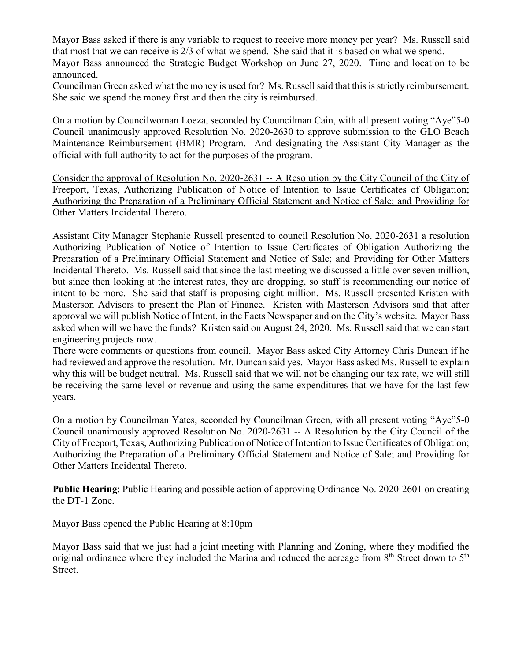Mayor Bass asked if there is any variable to request to receive more money per year? Ms. Russell said that most that we can receive is 2/3 of what we spend. She said that it is based on what we spend.

Mayor Bass announced the Strategic Budget Workshop on June 27, 2020. Time and location to be announced.

Councilman Green asked what the money is used for? Ms. Russell said that this is strictly reimbursement. She said we spend the money first and then the city is reimbursed.

On a motion by Councilwoman Loeza, seconded by Councilman Cain, with all present voting "Aye"5-0 Council unanimously approved Resolution No. 2020-2630 to approve submission to the GLO Beach Maintenance Reimbursement (BMR) Program. And designating the Assistant City Manager as the official with full authority to act for the purposes of the program.

Consider the approval of Resolution No. 2020-2631 -- A Resolution by the City Council of the City of Freeport, Texas, Authorizing Publication of Notice of Intention to Issue Certificates of Obligation; Authorizing the Preparation of a Preliminary Official Statement and Notice of Sale; and Providing for Other Matters Incidental Thereto.

Assistant City Manager Stephanie Russell presented to council Resolution No. 2020-2631 a resolution Authorizing Publication of Notice of Intention to Issue Certificates of Obligation Authorizing the Preparation of a Preliminary Official Statement and Notice of Sale; and Providing for Other Matters Incidental Thereto. Ms. Russell said that since the last meeting we discussed a little over seven million, but since then looking at the interest rates, they are dropping, so staff is recommending our notice of intent to be more. She said that staff is proposing eight million. Ms. Russell presented Kristen with Masterson Advisors to present the Plan of Finance. Kristen with Masterson Advisors said that after approval we will publish Notice of Intent, in the Facts Newspaper and on the City's website. Mayor Bass asked when will we have the funds? Kristen said on August 24, 2020. Ms. Russell said that we can start engineering projects now.

There were comments or questions from council. Mayor Bass asked City Attorney Chris Duncan if he had reviewed and approve the resolution. Mr. Duncan said yes. Mayor Bass asked Ms. Russell to explain why this will be budget neutral. Ms. Russell said that we will not be changing our tax rate, we will still be receiving the same level or revenue and using the same expenditures that we have for the last few years.

On a motion by Councilman Yates, seconded by Councilman Green, with all present voting "Aye"5-0 Council unanimously approved Resolution No. 2020-2631 -- A Resolution by the City Council of the City of Freeport, Texas, Authorizing Publication of Notice of Intention to Issue Certificates of Obligation; Authorizing the Preparation of a Preliminary Official Statement and Notice of Sale; and Providing for Other Matters Incidental Thereto.

#### **Public Hearing**: Public Hearing and possible action of approving Ordinance No. 2020-2601 on creating the DT-1 Zone.

Mayor Bass opened the Public Hearing at 8:10pm

Mayor Bass said that we just had a joint meeting with Planning and Zoning, where they modified the original ordinance where they included the Marina and reduced the acreage from  $8<sup>th</sup>$  Street down to  $5<sup>th</sup>$ Street.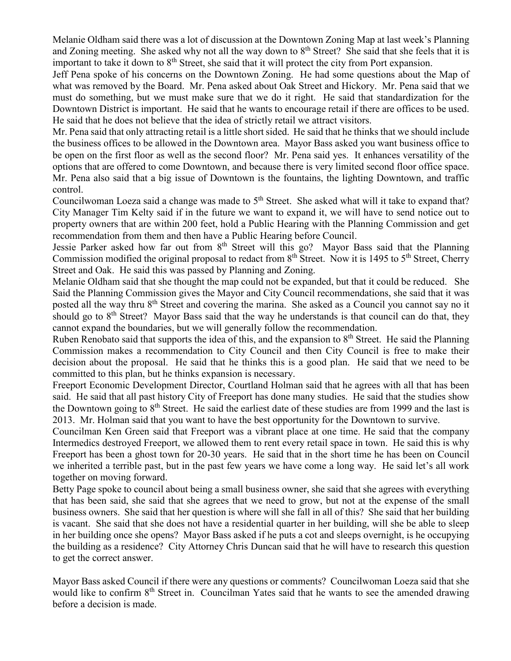Melanie Oldham said there was a lot of discussion at the Downtown Zoning Map at last week's Planning and Zoning meeting. She asked why not all the way down to 8<sup>th</sup> Street? She said that she feels that it is important to take it down to  $8<sup>th</sup>$  Street, she said that it will protect the city from Port expansion.

Jeff Pena spoke of his concerns on the Downtown Zoning. He had some questions about the Map of what was removed by the Board. Mr. Pena asked about Oak Street and Hickory. Mr. Pena said that we must do something, but we must make sure that we do it right. He said that standardization for the Downtown District is important. He said that he wants to encourage retail if there are offices to be used. He said that he does not believe that the idea of strictly retail we attract visitors.

Mr. Pena said that only attracting retail is a little short sided. He said that he thinks that we should include the business offices to be allowed in the Downtown area. Mayor Bass asked you want business office to be open on the first floor as well as the second floor? Mr. Pena said yes. It enhances versatility of the options that are offered to come Downtown, and because there is very limited second floor office space. Mr. Pena also said that a big issue of Downtown is the fountains, the lighting Downtown, and traffic control.

Councilwoman Loeza said a change was made to  $5<sup>th</sup>$  Street. She asked what will it take to expand that? City Manager Tim Kelty said if in the future we want to expand it, we will have to send notice out to property owners that are within 200 feet, hold a Public Hearing with the Planning Commission and get recommendation from them and then have a Public Hearing before Council.

Jessie Parker asked how far out from 8<sup>th</sup> Street will this go? Mayor Bass said that the Planning Commission modified the original proposal to redact from  $8<sup>th</sup>$  Street. Now it is 1495 to 5<sup>th</sup> Street, Cherry Street and Oak. He said this was passed by Planning and Zoning.

Melanie Oldham said that she thought the map could not be expanded, but that it could be reduced. She Said the Planning Commission gives the Mayor and City Council recommendations, she said that it was posted all the way thru 8<sup>th</sup> Street and covering the marina. She asked as a Council you cannot say no it should go to  $8<sup>th</sup>$  Street? Mayor Bass said that the way he understands is that council can do that, they cannot expand the boundaries, but we will generally follow the recommendation.

Ruben Renobato said that supports the idea of this, and the expansion to 8<sup>th</sup> Street. He said the Planning Commission makes a recommendation to City Council and then City Council is free to make their decision about the proposal. He said that he thinks this is a good plan. He said that we need to be committed to this plan, but he thinks expansion is necessary.

Freeport Economic Development Director, Courtland Holman said that he agrees with all that has been said. He said that all past history City of Freeport has done many studies. He said that the studies show the Downtown going to  $8<sup>th</sup>$  Street. He said the earliest date of these studies are from 1999 and the last is 2013. Mr. Holman said that you want to have the best opportunity for the Downtown to survive.

Councilman Ken Green said that Freeport was a vibrant place at one time. He said that the company Intermedics destroyed Freeport, we allowed them to rent every retail space in town. He said this is why Freeport has been a ghost town for 20-30 years. He said that in the short time he has been on Council we inherited a terrible past, but in the past few years we have come a long way. He said let's all work together on moving forward.

Betty Page spoke to council about being a small business owner, she said that she agrees with everything that has been said, she said that she agrees that we need to grow, but not at the expense of the small business owners. She said that her question is where will she fall in all of this? She said that her building is vacant. She said that she does not have a residential quarter in her building, will she be able to sleep in her building once she opens? Mayor Bass asked if he puts a cot and sleeps overnight, is he occupying the building as a residence? City Attorney Chris Duncan said that he will have to research this question to get the correct answer.

Mayor Bass asked Council if there were any questions or comments? Councilwoman Loeza said that she would like to confirm 8<sup>th</sup> Street in. Councilman Yates said that he wants to see the amended drawing before a decision is made.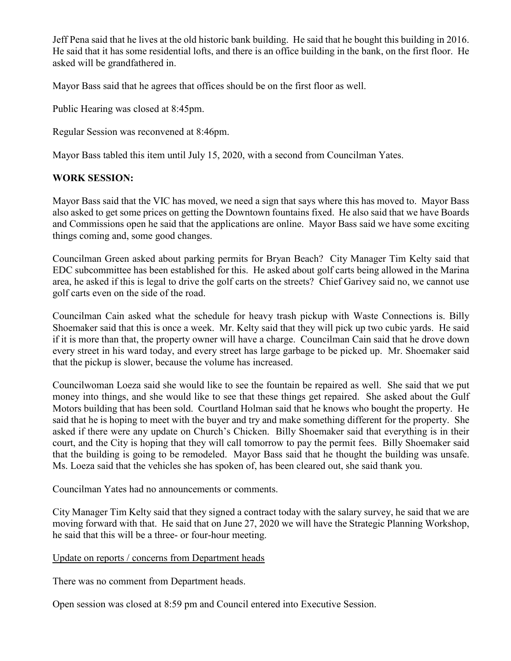Jeff Pena said that he lives at the old historic bank building. He said that he bought this building in 2016. He said that it has some residential lofts, and there is an office building in the bank, on the first floor. He asked will be grandfathered in.

Mayor Bass said that he agrees that offices should be on the first floor as well.

Public Hearing was closed at 8:45pm.

Regular Session was reconvened at 8:46pm.

Mayor Bass tabled this item until July 15, 2020, with a second from Councilman Yates.

# **WORK SESSION:**

Mayor Bass said that the VIC has moved, we need a sign that says where this has moved to. Mayor Bass also asked to get some prices on getting the Downtown fountains fixed. He also said that we have Boards and Commissions open he said that the applications are online. Mayor Bass said we have some exciting things coming and, some good changes.

Councilman Green asked about parking permits for Bryan Beach? City Manager Tim Kelty said that EDC subcommittee has been established for this. He asked about golf carts being allowed in the Marina area, he asked if this is legal to drive the golf carts on the streets? Chief Garivey said no, we cannot use golf carts even on the side of the road.

Councilman Cain asked what the schedule for heavy trash pickup with Waste Connections is. Billy Shoemaker said that this is once a week. Mr. Kelty said that they will pick up two cubic yards. He said if it is more than that, the property owner will have a charge. Councilman Cain said that he drove down every street in his ward today, and every street has large garbage to be picked up. Mr. Shoemaker said that the pickup is slower, because the volume has increased.

Councilwoman Loeza said she would like to see the fountain be repaired as well. She said that we put money into things, and she would like to see that these things get repaired. She asked about the Gulf Motors building that has been sold. Courtland Holman said that he knows who bought the property. He said that he is hoping to meet with the buyer and try and make something different for the property. She asked if there were any update on Church's Chicken. Billy Shoemaker said that everything is in their court, and the City is hoping that they will call tomorrow to pay the permit fees. Billy Shoemaker said that the building is going to be remodeled. Mayor Bass said that he thought the building was unsafe. Ms. Loeza said that the vehicles she has spoken of, has been cleared out, she said thank you.

Councilman Yates had no announcements or comments.

City Manager Tim Kelty said that they signed a contract today with the salary survey, he said that we are moving forward with that. He said that on June 27, 2020 we will have the Strategic Planning Workshop, he said that this will be a three- or four-hour meeting.

### Update on reports / concerns from Department heads

There was no comment from Department heads.

Open session was closed at 8:59 pm and Council entered into Executive Session.